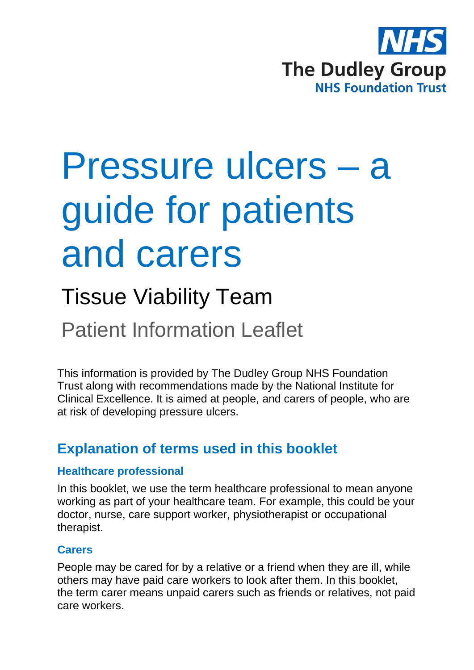

# Pressure ulcers – a guide for patients and carers

# Tissue Viability Team

Patient Information Leaflet

This information is provided by The Dudley Group NHS Foundation Trust along with recommendations made by the National Institute for Clinical Excellence. It is aimed at people, and carers of people, who are at risk of developing pressure ulcers.

# **Explanation of terms used in this booklet**

#### **Healthcare professional**

In this booklet, we use the term healthcare professional to mean anyone working as part of your healthcare team. For example, this could be your doctor, nurse, care support worker, physiotherapist or occupational therapist.

#### **Carers**

People may be cared for by a relative or a friend when they are ill, while others may have paid care workers to look after them. In this booklet, the term carer means unpaid carers such as friends or relatives, not paid care workers.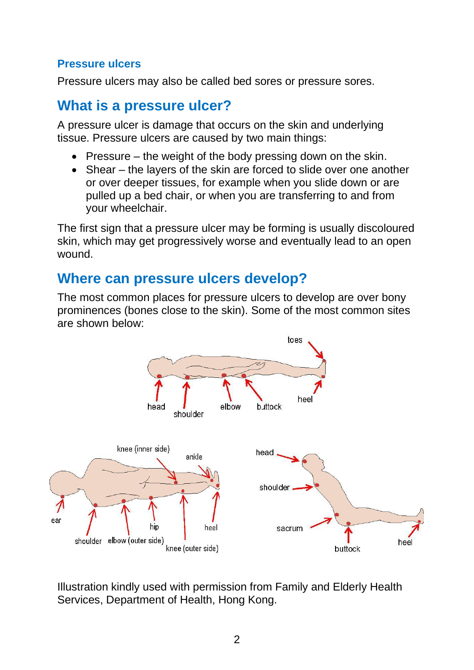#### **Pressure ulcers**

Pressure ulcers may also be called bed sores or pressure sores.

#### **What is a pressure ulcer?**

A pressure ulcer is damage that occurs on the skin and underlying tissue. Pressure ulcers are caused by two main things:

- Pressure the weight of the body pressing down on the skin.
- Shear the layers of the skin are forced to slide over one another or over deeper tissues, for example when you slide down or are pulled up a bed chair, or when you are transferring to and from your wheelchair.

The first sign that a pressure ulcer may be forming is usually discoloured skin, which may get progressively worse and eventually lead to an open wound.

#### **Where can pressure ulcers develop?**

The most common places for pressure ulcers to develop are over bony prominences (bones close to the skin). Some of the most common sites are shown below:



Illustration kindly used with permission from Family and Elderly Health Services, Department of Health, Hong Kong.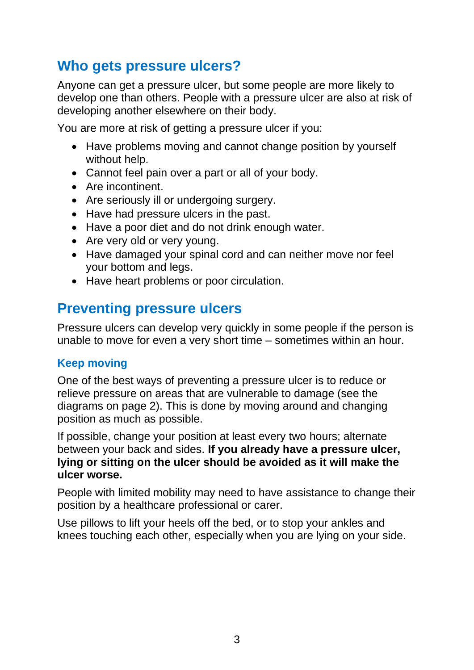### **Who gets pressure ulcers?**

Anyone can get a pressure ulcer, but some people are more likely to develop one than others. People with a pressure ulcer are also at risk of developing another elsewhere on their body.

You are more at risk of getting a pressure ulcer if you:

- Have problems moving and cannot change position by yourself without help.
- Cannot feel pain over a part or all of your body.
- Are incontinent.
- Are seriously ill or undergoing surgery.
- Have had pressure ulcers in the past.
- Have a poor diet and do not drink enough water.
- Are very old or very young.
- Have damaged your spinal cord and can neither move nor feel your bottom and legs.
- Have heart problems or poor circulation.

# **Preventing pressure ulcers**

Pressure ulcers can develop very quickly in some people if the person is unable to move for even a very short time – sometimes within an hour.

#### **Keep moving**

One of the best ways of preventing a pressure ulcer is to reduce or relieve pressure on areas that are vulnerable to damage (see the diagrams on page 2). This is done by moving around and changing position as much as possible.

If possible, change your position at least every two hours; alternate between your back and sides. **If you already have a pressure ulcer, lying or sitting on the ulcer should be avoided as it will make the ulcer worse.**

People with limited mobility may need to have assistance to change their position by a healthcare professional or carer.

Use pillows to lift your heels off the bed, or to stop your ankles and knees touching each other, especially when you are lying on your side.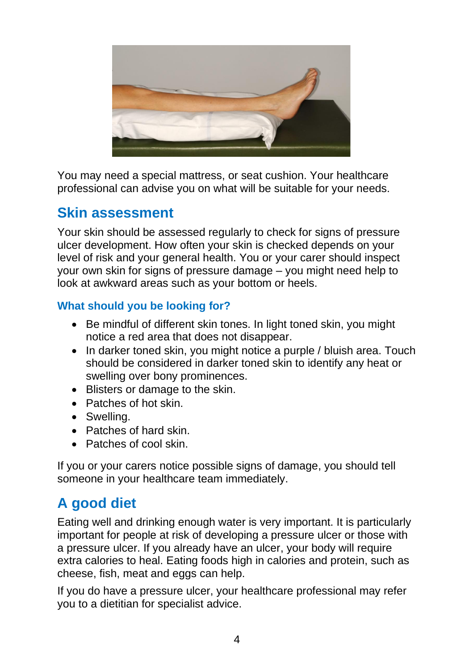

You may need a special mattress, or seat cushion. Your healthcare professional can advise you on what will be suitable for your needs.

# **Skin assessment**

Your skin should be assessed regularly to check for signs of pressure ulcer development. How often your skin is checked depends on your level of risk and your general health. You or your carer should inspect your own skin for signs of pressure damage – you might need help to look at awkward areas such as your bottom or heels.

#### **What should you be looking for?**

- Be mindful of different skin tones. In light toned skin, you might notice a red area that does not disappear.
- In darker toned skin, you might notice a purple / bluish area. Touch should be considered in darker toned skin to identify any heat or swelling over bony prominences.
- Blisters or damage to the skin.
- Patches of hot skin.
- Swelling.
- Patches of hard skin.
- Patches of cool skin.

If you or your carers notice possible signs of damage, you should tell someone in your healthcare team immediately.

# **A good diet**

Eating well and drinking enough water is very important. It is particularly important for people at risk of developing a pressure ulcer or those with a pressure ulcer. If you already have an ulcer, your body will require extra calories to heal. Eating foods high in calories and protein, such as cheese, fish, meat and eggs can help.

If you do have a pressure ulcer, your healthcare professional may refer you to a dietitian for specialist advice.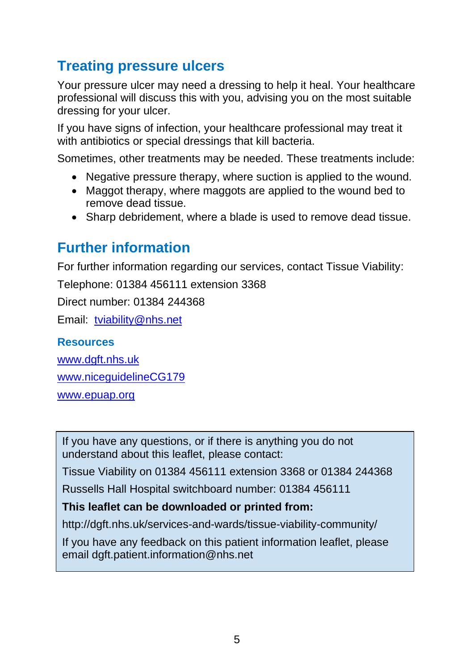# **Treating pressure ulcers**

Your pressure ulcer may need a dressing to help it heal. Your healthcare professional will discuss this with you, advising you on the most suitable dressing for your ulcer.

If you have signs of infection, your healthcare professional may treat it with antibiotics or special dressings that kill bacteria.

Sometimes, other treatments may be needed. These treatments include:

- Negative pressure therapy, where suction is applied to the wound.
- Maggot therapy, where maggots are applied to the wound bed to remove dead tissue.
- Sharp debridement, where a blade is used to remove dead tissue.

# **Further information**

For further information regarding our services, contact Tissue Viability:

Telephone: 01384 456111 extension 3368

Direct number: 01384 244368

Email: [tviability@nhs.net](mailto:tviability@nhs.net)

#### **Resources**

[www.dgft.nhs.uk](http://www.dgft.nhs.uk/)

[www.niceguidelineCG179](http://www.niceguidelinecg179/)

[www.epuap.org](http://www.epuap.org/)

If you have any questions, or if there is anything you do not understand about this leaflet, please contact:

Tissue Viability on 01384 456111 extension 3368 or 01384 244368

Russells Hall Hospital switchboard number: 01384 456111

#### **This leaflet can be downloaded or printed from:**

http://dgft.nhs.uk/services-and-wards/tissue-viability-community/

If you have any feedback on this patient information leaflet, please email dgft.patient.information@nhs.net